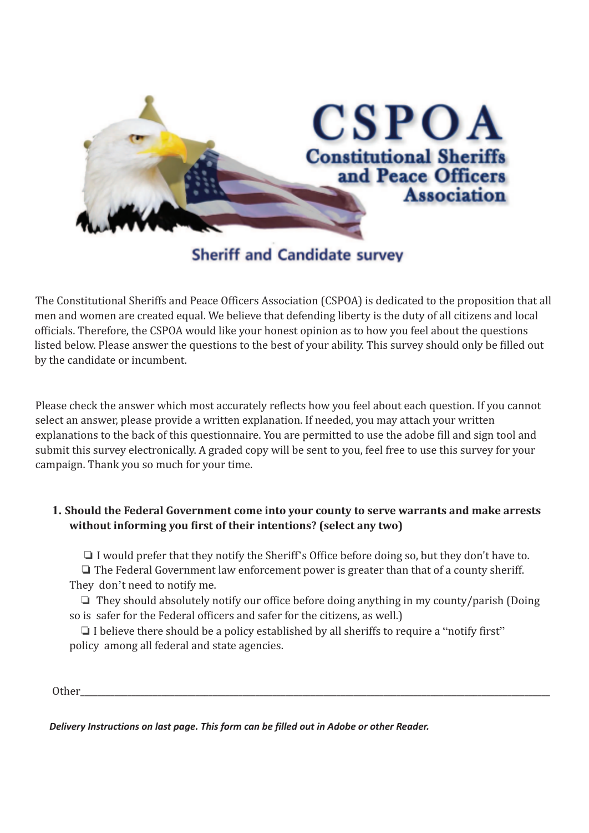

# **Sheriff and Candidate survey**

The Constitutional Sheriffs and Peace Officers Association (CSPOA) is dedicated to the proposition that all men and women are created equal. We believe that defending liberty is the duty of all citizens and local officials. Therefore, the CSPOA would like your honest opinion as to how you feel about the questions listed below. Please answer the questions to the best of your ability. This survey should only be filled out by the candidate or incumbent.

Please check the answer which most accurately reflects how you feel about each question. If you cannot select an answer, please provide a written explanation. If needed, you may attach your written explanations to the back of this questionnaire. You are permitted to use the adobe fill and sign tool and submit this survey electronically. A graded copy will be sent to you, feel free to use this survey for your campaign. Thank you so much for your time.

# **1. Should the Federal Government come into your county to serve warrants and make arrests without informing you first of their intentions? (select any two)**

❏ I would prefer that they notify the Sheriff's Office before doing so, but they don't have to.

❏ The Federal Government law enforcement power is greater than that of a county sheriff. They don't need to notify me.

❏ They should absolutely notify our office before doing anything in my county/parish (Doing so is safer for the Federal officers and safer for the citizens, as well.)

❏ I believe there should be a policy established by all sheriffs to require a "notify first" policy among all federal and state agencies.

Other\_\_\_\_\_\_\_\_\_\_\_\_\_\_\_\_\_\_\_\_\_\_\_\_\_\_\_\_\_\_\_\_\_\_\_\_\_\_\_\_\_\_\_\_\_\_\_\_\_\_\_\_\_\_\_\_\_\_\_\_\_\_\_\_\_\_\_\_\_\_\_\_\_\_\_\_\_\_\_\_\_\_\_\_\_\_\_\_\_\_\_\_\_\_\_\_\_\_\_\_\_\_\_\_\_\_\_\_\_\_

*Delivery Instructions on last page. This form can be filled out in Adobe or other Reader.*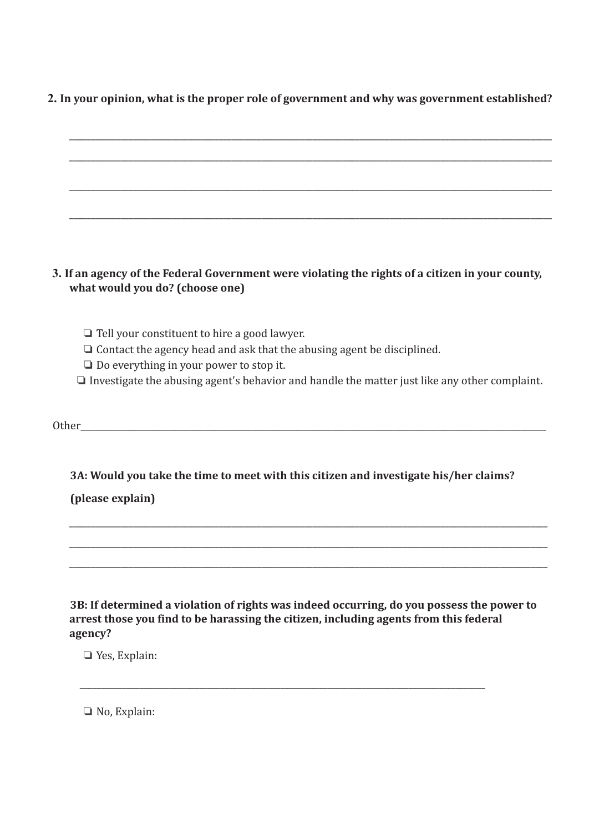# **2. In your opinion, what is the proper role of government and why was government established?**



**3B: If determined a violation of rights was indeed occurring, do you possess the power to arrest those you find to be harassing the citizen, including agents from this federal agency?**

\_\_\_\_\_\_\_\_\_\_\_\_\_\_\_\_\_\_\_\_\_\_\_\_\_\_\_\_\_\_\_\_\_\_\_\_\_\_\_\_\_\_\_\_\_\_\_\_\_\_\_\_\_\_\_\_\_\_\_\_\_\_\_\_\_\_\_\_\_\_\_\_\_\_\_\_\_\_\_\_\_\_\_\_\_\_\_\_\_\_\_\_\_\_\_

❏ Yes, Explain:

❏ No, Explain: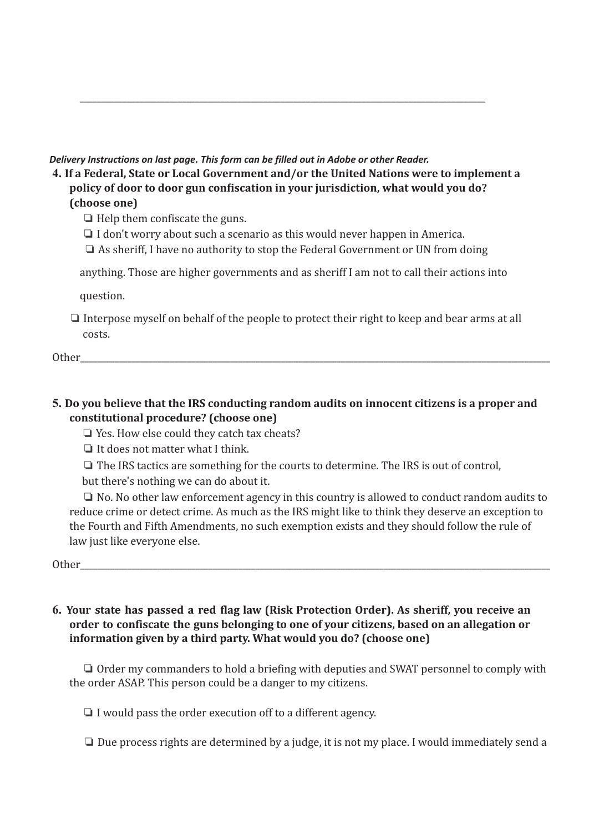#### *Delivery Instructions on last page. This form can be filled out in Adobe or other Reader.*

**4. If a Federal, State or Local Government and/or the United Nations were to implement a policy of door to door gun confiscation in your jurisdiction, what would you do? (choose one)**

\_\_\_\_\_\_\_\_\_\_\_\_\_\_\_\_\_\_\_\_\_\_\_\_\_\_\_\_\_\_\_\_\_\_\_\_\_\_\_\_\_\_\_\_\_\_\_\_\_\_\_\_\_\_\_\_\_\_\_\_\_\_\_\_\_\_\_\_\_\_\_\_\_\_\_\_\_\_\_\_\_\_\_\_\_\_\_\_\_\_\_\_\_\_\_

❏ Help them confiscate the guns.

- ❏ I don't worry about such a scenario as this would never happen in America.
- ❏ As sheriff, I have no authority to stop the Federal Government or UN from doing

anything. Those are higher governments and as sheriff I am not to call their actions into

question.

❏ Interpose myself on behalf of the people to protect their right to keep and bear arms at all costs.

Other

# **5. Do you believe that the IRS conducting random audits on innocent citizens is a proper and constitutional procedure? (choose one)**

❏ Yes. How else could they catch tax cheats?

❏ It does not matter what I think.

❏ The IRS tactics are something for the courts to determine. The IRS is out of control,

but there's nothing we can do about it.

❏ No. No other law enforcement agency in this country is allowed to conduct random audits to reduce crime or detect crime. As much as the IRS might like to think they deserve an exception to the Fourth and Fifth Amendments, no such exemption exists and they should follow the rule of law just like everyone else.

Other

#### **6. Your state has passed a red flag law (Risk Protection Order). As sheriff, you receive an order to confiscate the guns belonging to one of your citizens, based on an allegation or information given by a third party. What would you do? (choose one)**

❏ Order my commanders to hold a briefing with deputies and SWAT personnel to comply with the order ASAP. This person could be a danger to my citizens.

❏ I would pass the order execution off to a different agency.

❏ Due process rights are determined by a judge, it is not my place. I would immediately send a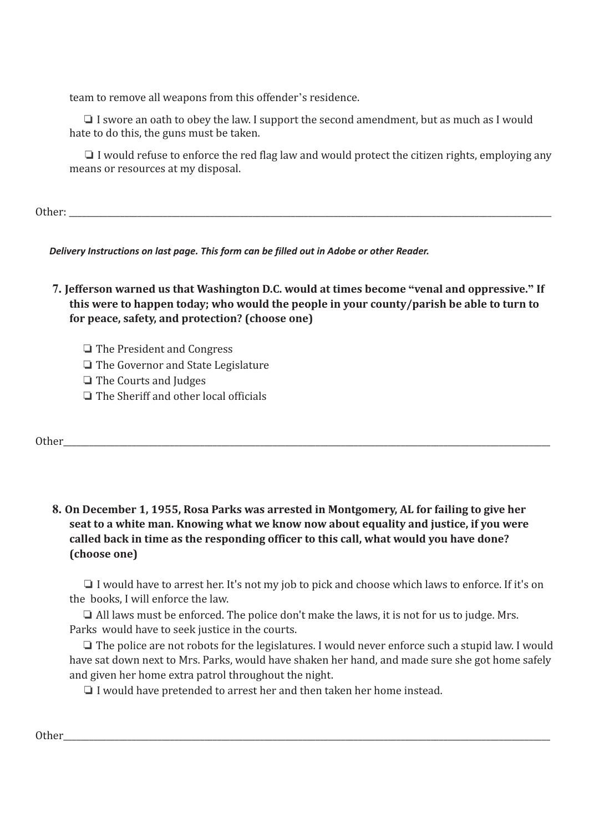team to remove all weapons from this offender's residence.

❏ I swore an oath to obey the law. I support the second amendment, but as much as I would hate to do this, the guns must be taken.

❏ I would refuse to enforce the red flag law and would protect the citizen rights, employing any means or resources at my disposal.

Other:

*Delivery Instructions on last page. This form can be filled out in Adobe or other Reader.*

**7. Jefferson warned us that Washington D.C. would at times become "venal and oppressive." If this were to happen today; who would the people in your county/parish be able to turn to for peace, safety, and protection? (choose one)**

❏ The President and Congress

❏ The Governor and State Legislature

❏ The Courts and Judges

❏ The Sheriff and other local officials

Other\_\_\_\_\_\_\_\_\_\_\_\_\_\_\_\_\_\_\_\_\_\_\_\_\_\_\_\_\_\_\_\_\_\_\_\_\_\_\_\_\_\_\_\_\_\_\_\_\_\_\_\_\_\_\_\_\_\_\_\_\_\_\_\_\_\_\_\_\_\_\_\_\_\_\_\_\_\_\_\_\_\_\_\_\_\_\_\_\_\_\_\_\_\_\_\_\_\_\_\_\_\_\_\_\_\_\_\_\_\_\_\_\_\_

**8. On December 1, 1955, Rosa Parks was arrested in Montgomery, AL for failing to give her seat to a white man. Knowing what we know now about equality and justice, if you were called back in time as the responding officer to this call, what would you have done? (choose one)**

❏ I would have to arrest her. It's not my job to pick and choose which laws to enforce. If it's on the books, I will enforce the law.

❏ All laws must be enforced. The police don't make the laws, it is not for us to judge. Mrs. Parks would have to seek justice in the courts.

❏ The police are not robots for the legislatures. I would never enforce such a stupid law. I would have sat down next to Mrs. Parks, would have shaken her hand, and made sure she got home safely and given her home extra patrol throughout the night.

❏ I would have pretended to arrest her and then taken her home instead.

Other\_\_\_\_\_\_\_\_\_\_\_\_\_\_\_\_\_\_\_\_\_\_\_\_\_\_\_\_\_\_\_\_\_\_\_\_\_\_\_\_\_\_\_\_\_\_\_\_\_\_\_\_\_\_\_\_\_\_\_\_\_\_\_\_\_\_\_\_\_\_\_\_\_\_\_\_\_\_\_\_\_\_\_\_\_\_\_\_\_\_\_\_\_\_\_\_\_\_\_\_\_\_\_\_\_\_\_\_\_\_\_\_\_\_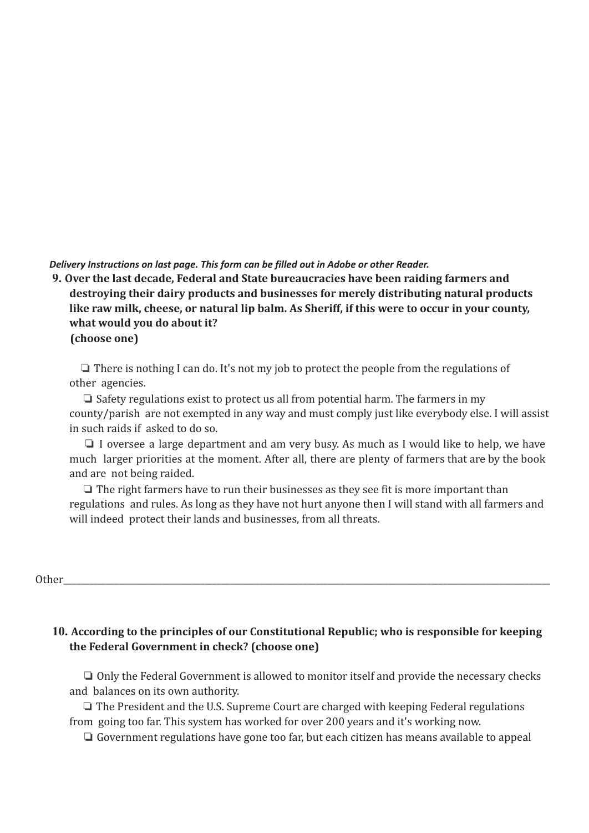*Delivery Instructions on last page. This form can be filled out in Adobe or other Reader.*

# **9. Over the last decade, Federal and State bureaucracies have been raiding farmers and destroying their dairy products and businesses for merely distributing natural products like raw milk, cheese, or natural lip balm. As Sheriff, if this were to occur in your county, what would you do about it? (choose one)**

❏ There is nothing I can do. It's not my job to protect the people from the regulations of other agencies.

❏ Safety regulations exist to protect us all from potential harm. The farmers in my county/parish are not exempted in any way and must comply just like everybody else. I will assist in such raids if asked to do so.

❏ I oversee a large department and am very busy. As much as I would like to help, we have much larger priorities at the moment. After all, there are plenty of farmers that are by the book and are not being raided.

❏ The right farmers have to run their businesses as they see fit is more important than regulations and rules. As long as they have not hurt anyone then I will stand with all farmers and will indeed protect their lands and businesses, from all threats.

#### Other\_\_\_\_\_\_\_\_\_\_\_\_\_\_\_\_\_\_\_\_\_\_\_\_\_\_\_\_\_\_\_\_\_\_\_\_\_\_\_\_\_\_\_\_\_\_\_\_\_\_\_\_\_\_\_\_\_\_\_\_\_\_\_\_\_\_\_\_\_\_\_\_\_\_\_\_\_\_\_\_\_\_\_\_\_\_\_\_\_\_\_\_\_\_\_\_\_\_\_\_\_\_\_\_\_\_\_\_\_\_\_\_\_\_

# **10. According to the principles of our Constitutional Republic; who is responsible for keeping the Federal Government in check? (choose one)**

❏ Only the Federal Government is allowed to monitor itself and provide the necessary checks and balances on its own authority.

❏ The President and the U.S. Supreme Court are charged with keeping Federal regulations from going too far. This system has worked for over 200 years and it's working now.

❏ Government regulations have gone too far, but each citizen has means available to appeal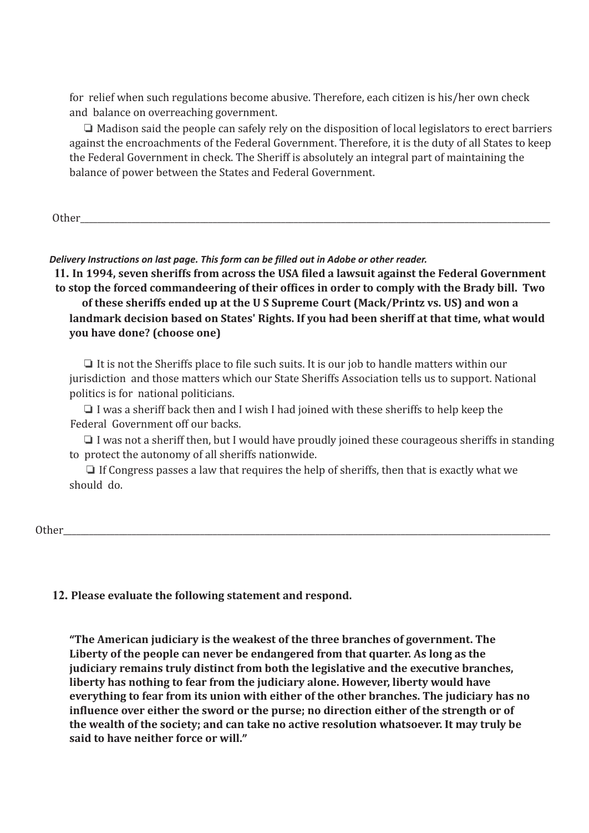for relief when such regulations become abusive. Therefore, each citizen is his/her own check and balance on overreaching government.

❏ Madison said the people can safely rely on the disposition of local legislators to erect barriers against the encroachments of the Federal Government. Therefore, it is the duty of all States to keep the Federal Government in check. The Sheriff is absolutely an integral part of maintaining the balance of power between the States and Federal Government.

Other\_\_\_\_\_\_\_\_\_\_\_\_\_\_\_\_\_\_\_\_\_\_\_\_\_\_\_\_\_\_\_\_\_\_\_\_\_\_\_\_\_\_\_\_\_\_\_\_\_\_\_\_\_\_\_\_\_\_\_\_\_\_\_\_\_\_\_\_\_\_\_\_\_\_\_\_\_\_\_\_\_\_\_\_\_\_\_\_\_\_\_\_\_\_\_\_\_\_\_\_\_\_\_\_\_\_\_\_\_\_

*Delivery Instructions on last page. This form can be filled out in Adobe or other reader.*

**11. In 1994, seven sheriffs from across the USA filed a lawsuit against the Federal Government to stop the forced commandeering of their offices in order to comply with the Brady bill. Two of these sheriffs ended up at the U S Supreme Court (Mack/Printz vs. US) and won a landmark decision based on States' Rights. If you had been sheriff at that time, what would you have done? (choose one)**

❏ It is not the Sheriffs place to file such suits. It is our job to handle matters within our jurisdiction and those matters which our State Sheriffs Association tells us to support. National politics is for national politicians.

❏ I was a sheriff back then and I wish I had joined with these sheriffs to help keep the Federal Government off our backs.

❏ I was not a sheriff then, but I would have proudly joined these courageous sheriffs in standing to protect the autonomy of all sheriffs nationwide.

❏ If Congress passes a law that requires the help of sheriffs, then that is exactly what we should do.

Other\_\_\_\_\_\_\_\_\_\_\_\_\_\_\_\_\_\_\_\_\_\_\_\_\_\_\_\_\_\_\_\_\_\_\_\_\_\_\_\_\_\_\_\_\_\_\_\_\_\_\_\_\_\_\_\_\_\_\_\_\_\_\_\_\_\_\_\_\_\_\_\_\_\_\_\_\_\_\_\_\_\_\_\_\_\_\_\_\_\_\_\_\_\_\_\_\_\_\_\_\_\_\_\_\_\_\_\_\_\_\_\_\_\_

# **12. Please evaluate the following statement and respond.**

**"The American judiciary is the weakest of the three branches of government. The Liberty of the people can never be endangered from that quarter. As long as the judiciary remains truly distinct from both the legislative and the executive branches, liberty has nothing to fear from the judiciary alone. However, liberty would have everything to fear from its union with either of the other branches. The judiciary has no influence over either the sword or the purse; no direction either of the strength or of the wealth of the society; and can take no active resolution whatsoever. It may truly be said to have neither force or will."**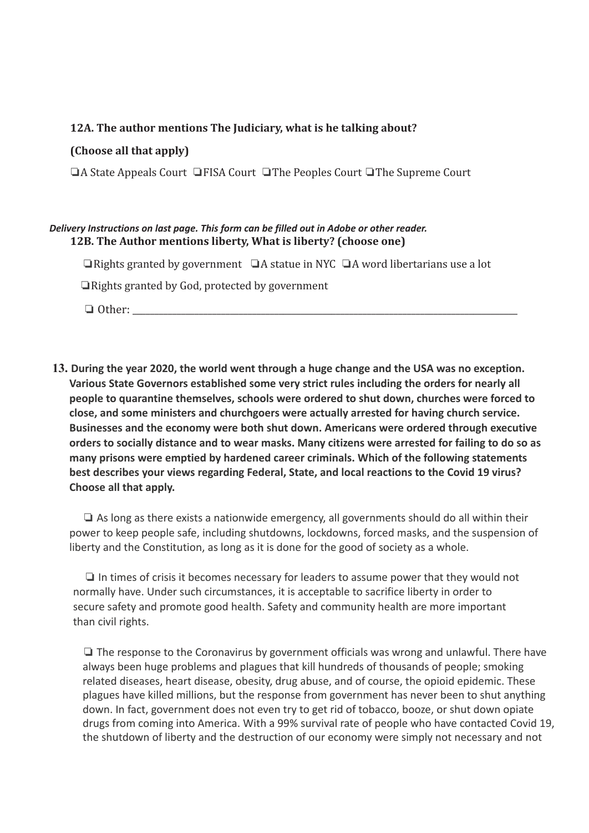#### **12A. The author mentions The Judiciary, what is he talking about?**

#### **(Choose all that apply)**

❏A State Appeals Court ❏FISA Court ❏The Peoples Court ❏The Supreme Court

#### *Delivery Instructions on last page. This form can be filled out in Adobe or other reader.* **12B. The Author mentions liberty, What is liberty? (choose one)**

❏Rights granted by government ❏A statue in NYC ❏A word libertarians use a lot

❏Rights granted by God, protected by government

❏ Other: \_\_\_\_\_\_\_\_\_\_\_\_\_\_\_\_\_\_\_\_\_\_\_\_\_\_\_\_\_\_\_\_\_\_\_\_\_\_\_\_\_\_\_\_\_\_\_\_\_\_\_\_\_\_\_\_\_\_\_\_\_\_\_\_\_\_\_\_\_\_\_\_\_\_\_\_\_\_\_\_\_\_\_\_\_\_\_

**13. During the year 2020, the world went through a huge change and the USA was no exception. Various State Governors established some very strict rules including the orders for nearly all people to quarantine themselves, schools were ordered to shut down, churches were forced to close, and some ministers and churchgoers were actually arrested for having church service. Businesses and the economy were both shut down. Americans were ordered through executive orders to socially distance and to wear masks. Many citizens were arrested for failing to do so as many prisons were emptied by hardened career criminals. Which of the following statements best describes your views regarding Federal, State, and local reactions to the Covid 19 virus? Choose all that apply.**

❏ As long as there exists a nationwide emergency, all governments should do all within their power to keep people safe, including shutdowns, lockdowns, forced masks, and the suspension of liberty and the Constitution, as long as it is done for the good of society as a whole.

❏ In times of crisis it becomes necessary for leaders to assume power that they would not normally have. Under such circumstances, it is acceptable to sacrifice liberty in order to secure safety and promote good health. Safety and community health are more important than civil rights.

❏ The response to the Coronavirus by government officials was wrong and unlawful. There have always been huge problems and plagues that kill hundreds of thousands of people; smoking related diseases, heart disease, obesity, drug abuse, and of course, the opioid epidemic. These plagues have killed millions, but the response from government has never been to shut anything down. In fact, government does not even try to get rid of tobacco, booze, or shut down opiate drugs from coming into America. With a 99% survival rate of people who have contacted Covid 19, the shutdown of liberty and the destruction of our economy were simply not necessary and not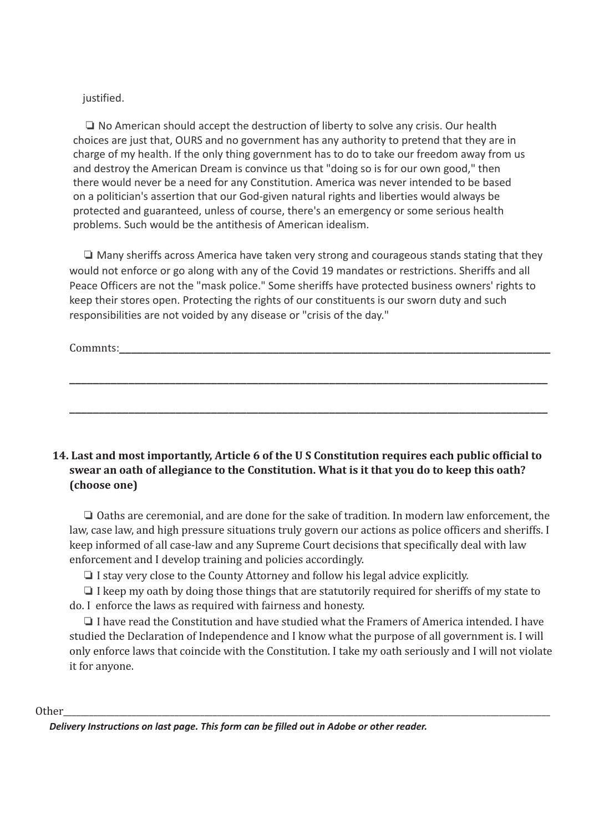#### justified.

❏ No American should accept the destruction of liberty to solve any crisis. Our health choices are just that, OURS and no government has any authority to pretend that they are in charge of my health. If the only thing government has to do to take our freedom away from us and destroy the American Dream is convince us that "doing so is for our own good," then there would never be a need for any Constitution. America was never intended to be based on a politician's assertion that our God-given natural rights and liberties would always be protected and guaranteed, unless of course, there's an emergency or some serious health problems. Such would be the antithesis of American idealism.

❏ Many sheriffs across America have taken very strong and courageous stands stating that they would not enforce or go along with any of the Covid 19 mandates or restrictions. Sheriffs and all Peace Officers are not the "mask police." Some sheriffs have protected business owners' rights to keep their stores open. Protecting the rights of our constituents is our sworn duty and such responsibilities are not voided by any disease or "crisis of the day."

**\_\_\_\_\_\_\_\_\_\_\_\_\_\_\_\_\_\_\_\_\_\_\_\_\_\_\_\_\_\_\_\_\_\_\_\_\_\_\_\_\_\_\_\_\_\_\_\_\_\_\_\_\_\_\_\_\_\_\_\_\_\_\_\_\_\_\_\_\_\_\_\_\_\_\_\_\_\_\_\_\_**

**\_\_\_\_\_\_\_\_\_\_\_\_\_\_\_\_\_\_\_\_\_\_\_\_\_\_\_\_\_\_\_\_\_\_\_\_\_\_\_\_\_\_\_\_\_\_\_\_\_\_\_\_\_\_\_\_\_\_\_\_\_\_\_\_\_\_\_\_\_\_\_\_\_\_\_\_\_\_\_\_\_**

Commnts:

# **14. Last and most importantly, Article 6 of the U S Constitution requires each public official to swear an oath of allegiance to the Constitution. What is it that you do to keep this oath? (choose one)**

❏ Oaths are ceremonial, and are done for the sake of tradition. In modern law enforcement, the law, case law, and high pressure situations truly govern our actions as police officers and sheriffs. I keep informed of all case-law and any Supreme Court decisions that specifically deal with law enforcement and I develop training and policies accordingly.

❏ I stay very close to the County Attorney and follow his legal advice explicitly.

❏ I keep my oath by doing those things that are statutorily required for sheriffs of my state to do. I enforce the laws as required with fairness and honesty.

❏ I have read the Constitution and have studied what the Framers of America intended. I have studied the Declaration of Independence and I know what the purpose of all government is. I will only enforce laws that coincide with the Constitution. I take my oath seriously and I will not violate it for anyone.

#### Other\_\_\_\_\_\_\_\_\_\_\_\_\_\_\_\_\_\_\_\_\_\_\_\_\_\_\_\_\_\_\_\_\_\_\_\_\_\_\_\_\_\_\_\_\_\_\_\_\_\_\_\_\_\_\_\_\_\_\_\_\_\_\_\_\_\_\_\_\_\_\_\_\_\_\_\_\_\_\_\_\_\_\_\_\_\_\_\_\_\_\_\_\_\_\_\_\_\_\_\_\_\_\_\_\_\_\_\_\_\_\_\_\_\_

*Delivery Instructions on last page. This form can be filled out in Adobe or other reader.*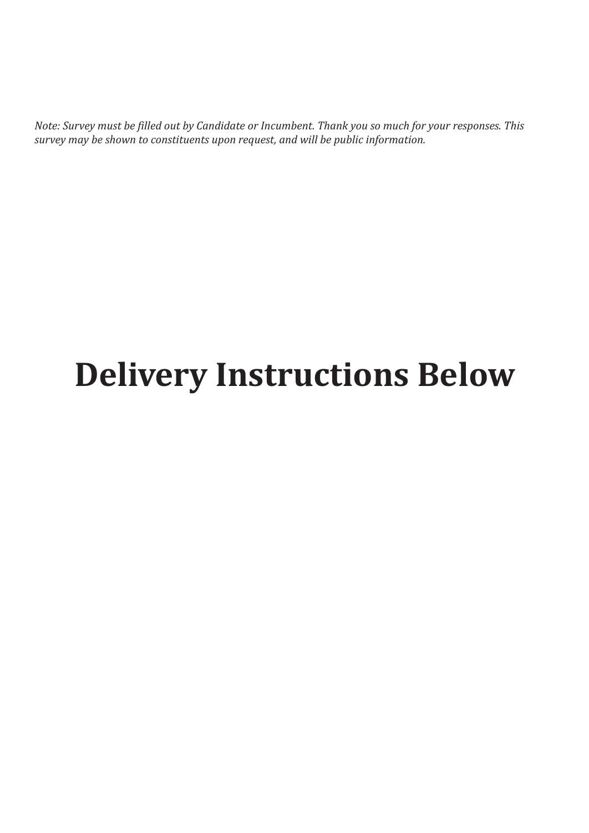Note: Survey must be filled out by Candidate or Incumbent. Thank you so much for your responses. This *survey may be shown to constituents upon request, and will be public information.*

# **Delivery Instructions Below**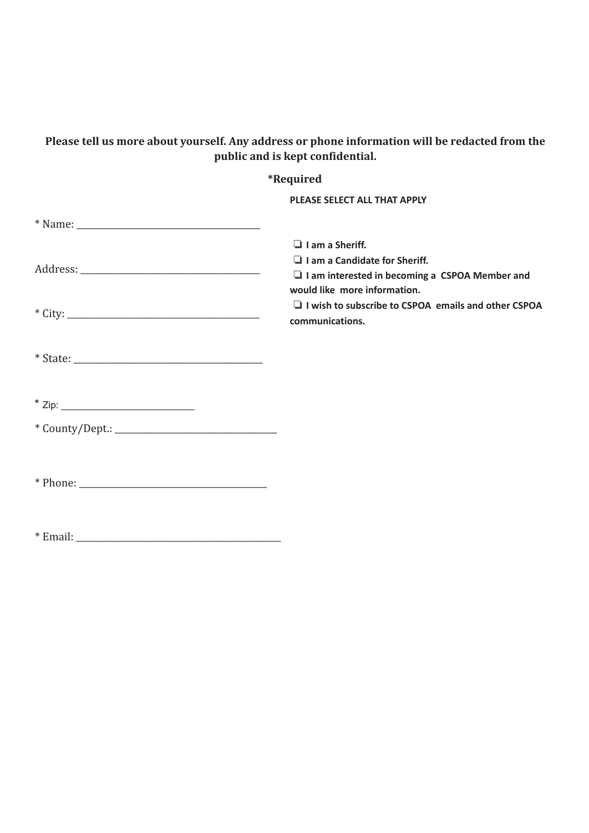# **Please tell us more about yourself. Any address or phone information will be redacted from the public and is kept confidential.**

| <i><b>*Required</b></i>                                                                                                                                 |
|---------------------------------------------------------------------------------------------------------------------------------------------------------|
| PLEASE SELECT ALL THAT APPLY                                                                                                                            |
|                                                                                                                                                         |
| $\Box$ I am a Sheriff.<br>$\Box$ I am a Candidate for Sheriff.<br>$\Box$ I am interested in becoming a CSPOA Member and<br>would like more information. |
| $\Box$ I wish to subscribe to CSPOA emails and other CSPOA<br>communications.                                                                           |
|                                                                                                                                                         |
|                                                                                                                                                         |
|                                                                                                                                                         |
|                                                                                                                                                         |
|                                                                                                                                                         |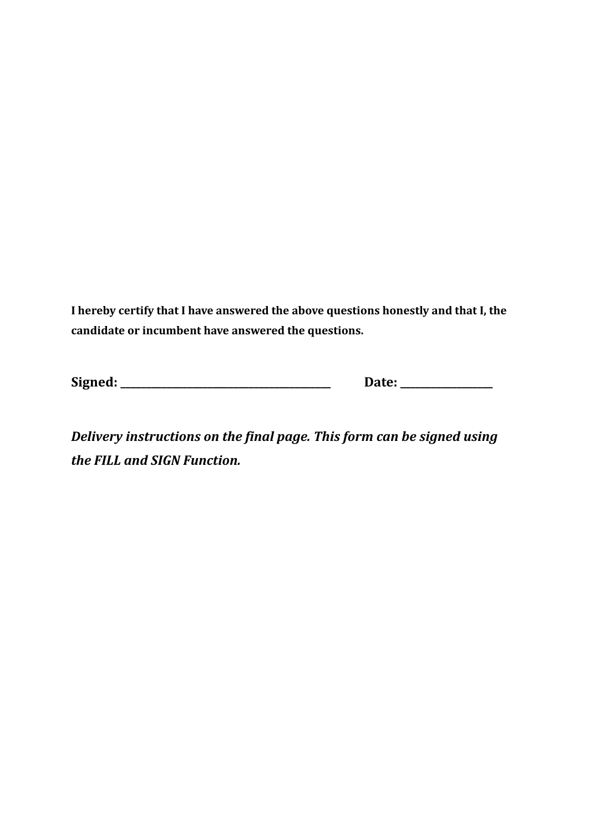**I hereby certify that I have answered the above questions honestly and that I, the candidate or incumbent have answered the questions.**

**Signed: \_\_\_\_\_\_\_\_\_\_\_\_\_\_\_\_\_\_\_\_\_\_\_\_\_\_\_\_\_\_\_\_\_\_\_\_\_\_\_\_\_ Date: \_\_\_\_\_\_\_\_\_\_\_\_\_\_\_\_\_\_**

*Delivery instructions on the final page. This form can be signed using the FILL and SIGN Function.*